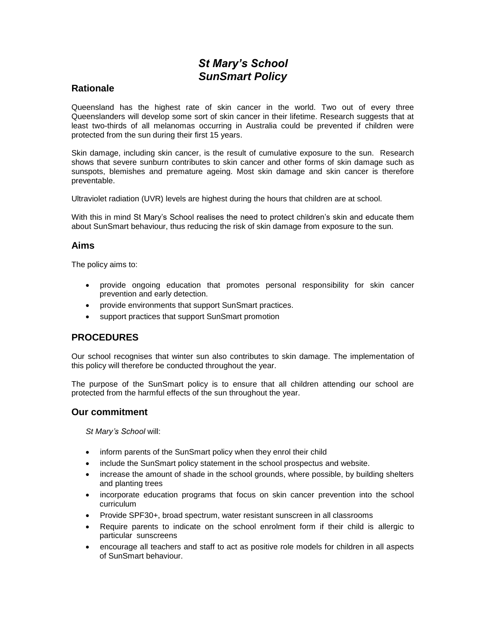# *St Mary's School SunSmart Policy*

### **Rationale**

Queensland has the highest rate of skin cancer in the world. Two out of every three Queenslanders will develop some sort of skin cancer in their lifetime. Research suggests that at least two-thirds of all melanomas occurring in Australia could be prevented if children were protected from the sun during their first 15 years.

Skin damage, including skin cancer, is the result of cumulative exposure to the sun. Research shows that severe sunburn contributes to skin cancer and other forms of skin damage such as sunspots, blemishes and premature ageing. Most skin damage and skin cancer is therefore preventable.

Ultraviolet radiation (UVR) levels are highest during the hours that children are at school.

With this in mind St Mary's School realises the need to protect children's skin and educate them about SunSmart behaviour, thus reducing the risk of skin damage from exposure to the sun.

### **Aims**

The policy aims to:

- provide ongoing education that promotes personal responsibility for skin cancer prevention and early detection.
- provide environments that support SunSmart practices.
- support practices that support SunSmart promotion

## **PROCEDURES**

Our school recognises that winter sun also contributes to skin damage. The implementation of this policy will therefore be conducted throughout the year.

The purpose of the SunSmart policy is to ensure that all children attending our school are protected from the harmful effects of the sun throughout the year.

#### **Our commitment**

*St Mary's School* will:

- inform parents of the SunSmart policy when they enrol their child
- include the SunSmart policy statement in the school prospectus and website.
- increase the amount of shade in the school grounds, where possible, by building shelters and planting trees
- incorporate education programs that focus on skin cancer prevention into the school curriculum
- Provide SPF30+, broad spectrum, water resistant sunscreen in all classrooms
- Require parents to indicate on the school enrolment form if their child is allergic to particular sunscreens
- encourage all teachers and staff to act as positive role models for children in all aspects of SunSmart behaviour.